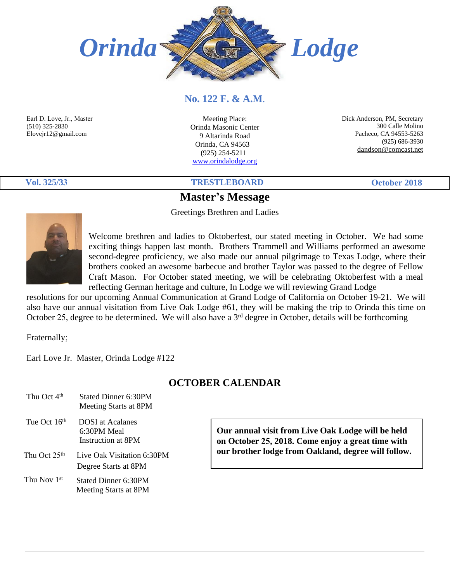

#### **No. 122 F. & A.M**.

Earl D. Love, Jr., Master (510) 325-2830 Elovejr12@gmail.com

Meeting Place: Orinda Masonic Center 9 Altarinda Road Orinda, CA 94563 (925) 254-5211 [www.orindalodge.org](http://www.orindalodge.org/)

 Dick Anderson, PM, Secretary 300 Calle Molino Pacheco, CA 94553-5263 (925) 686-3930 dandson@comcast.net

# **20182018**

**Vol. 325/33 TRESTLEBOARD October 2018**

## **Master's Message**

Greetings Brethren and Ladies



Welcome brethren and ladies to Oktoberfest, our stated meeting in October. We had some exciting things happen last month. Brothers Trammell and Williams performed an awesome second-degree proficiency, we also made our annual pilgrimage to Texas Lodge, where their brothers cooked an awesome barbecue and brother Taylor was passed to the degree of Fellow Craft Mason. For October stated meeting, we will be celebrating Oktoberfest with a meal reflecting German heritage and culture, In Lodge we will reviewing Grand Lodge

resolutions for our upcoming Annual Communication at Grand Lodge of California on October 19-21. We will also have our annual visitation from Live Oak Lodge #61, they will be making the trip to Orinda this time on October 25, degree to be determined. We will also have a 3rd degree in October, details will be forthcoming

Fraternally;

Earl Love Jr. Master, Orinda Lodge #122

#### **OCTOBER CALENDAR**

| Thu Oct 4 <sup>th</sup>  | Stated Dinner 6:30PM<br>Meeting Starts at 8PM                |
|--------------------------|--------------------------------------------------------------|
| Tue Oct 16 <sup>th</sup> | <b>DOSI</b> at Acalanes<br>6:30PM Meal<br>Instruction at 8PM |
| Thu Oct 25 <sup>th</sup> | Live Oak Visitation 6:30PM<br>Degree Starts at 8PM           |
| Thu Nov 1st              | Stated Dinner 6:30PM<br>Meeting Starts at 8PM                |

**Our annual visit from Live Oak Lodge will be held on October 25, 2018. Come enjoy a great time with our brother lodge from Oakland, degree will follow.**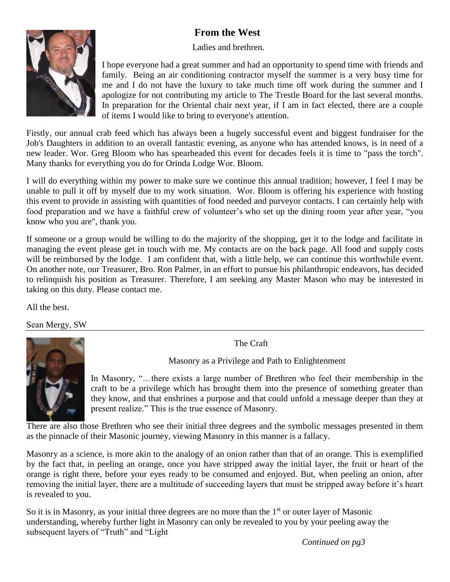# **From the West**

Ladies and brethren.



I hope everyone had a great summer and had an opportunity to spend time with friends and family. Being an air conditioning contractor myself the summer is a very busy time for me and I do not have the luxury to take much time off work during the summer and I apologize for not contributing my article to The Trestle Board for the last several months. In preparation for the Oriental chair next year, if I am in fact elected, there are a couple of items I would like to bring to everyone's attention.

Firstly, our annual crab feed which has always been a hugely successful event and biggest fundraiser for the Job's Daughters in addition to an overall fantastic evening, as anyone who has attended knows, is in need of a new leader. Wor. Greg Bloom who has spearheaded this event for decades feels it is time to "pass the torch". Many thanks for everything you do for Orinda Lodge Wor. Bloom.

I will do everything within my power to make sure we continue this annual tradition; however, I feel I may be unable to pull it off by myself due to my work situation. Wor. Bloom is offering his experience with hosting this event to provide in assisting with quantities of food needed and purveyor contacts. I can certainly help with food preparation and we have a faithful crew of volunteer's who set up the dining room year after year, "you know who you are", thank you.

If someone or a group would be willing to do the majority of the shopping, get it to the lodge and facilitate in managing the event please get in touch with me. My contacts are on the back page. All food and supply costs will be reimbursed by the lodge. I am confident that, with a little help, we can continue this worthwhile event. On another note, our Treasurer, Bro. Ron Palmer, in an effort to pursue his philanthropic endeavors, has decided to relinquish his position as Treasurer. Therefore, I am seeking any Master Mason who may be interested in taking on this duty. Please contact me.

All the best.

Sean Mergy, SW



The Craft

Masonry as a Privilege and Path to Enlightenment

In Masonry, "…there exists a large number of Brethren who feel their membership in the craft to be a privilege which has brought them into the presence of something greater than they know, and that enshrines a purpose and that could unfold a message deeper than they at present realize." This is the true essence of Masonry.

There are also those Brethren who see their initial three degrees and the symbolic messages presented in them as the pinnacle of their Masonic journey, viewing Masonry in this manner is a fallacy.

Masonry as a science, is more akin to the analogy of an onion rather than that of an orange. This is exemplified by the fact that, in peeling an orange, once you have stripped away the initial layer, the fruit or heart of the orange is right there, before your eyes ready to be consumed and enjoyed. But, when peeling an onion, after removing the initial layer, there are a multitude of succeeding layers that must be stripped away before it's heart is revealed to you.

So it is in Masonry, as your initial three degrees are no more than the  $1<sup>st</sup>$  or outer layer of Masonic understanding, whereby further light in Masonry can only be revealed to you by your peeling away the subsequent layers of "Truth" and "Light

*Continued on pg3*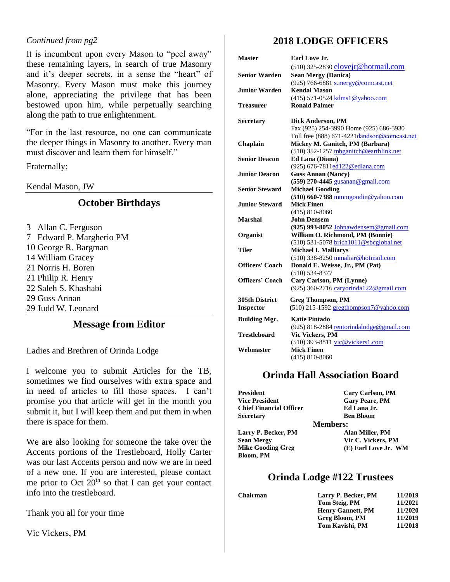#### *Continued from pg2*

It is incumbent upon every Mason to "peel away" these remaining layers, in search of true Masonry and it's deeper secrets, in a sense the "heart" of Masonry. Every Mason must make this journey alone, appreciating the privilege that has been bestowed upon him, while perpetually searching along the path to true enlightenment.

"For in the last resource, no one can communicate the deeper things in Masonry to another. Every man must discover and learn them for himself."

Fraternally;

Kendal Mason, JW

#### **October Birthdays**

3 Allan C. Ferguson 7 Edward P. Margherio PM 10 George R. Bargman 14 William Gracey 21 Norris H. Boren 21 Philip R. Henry 22 Saleh S. Khashabi 29 Guss Annan 29 Judd W. Leonard

#### **Message from Editor**

Ladies and Brethren of Orinda Lodge

I welcome you to submit Articles for the TB, sometimes we find ourselves with extra space and in need of articles to fill those spaces. I can't promise you that article will get in the month you submit it, but I will keep them and put them in when there is space for them.

We are also looking for someone the take over the Accents portions of the Trestleboard, Holly Carter was our last Accents person and now we are in need of a new one. If you are interested, please contact me prior to Oct  $20<sup>th</sup>$  so that I can get your contact info into the trestleboard.

Thank you all for your time

Vic Vickers, PM

## **2018 LODGE OFFICERS**

| <b>Master</b>         | Earl Love Jr.                                |
|-----------------------|----------------------------------------------|
|                       | (510) 325-2830 eloveir@hotmail.com           |
| <b>Senior Warden</b>  | <b>Sean Mergy (Danica)</b>                   |
|                       | (925) 766-6881 s.mergy@comcast.net           |
| Junior Warden         | <b>Kendal Mason</b>                          |
|                       | (415) 571-0524 kdms1@yahoo.com               |
| Treasurer             | <b>Ronald Palmer</b>                         |
| Secretary             | Dick Anderson, PM                            |
|                       | Fax (925) 254-3990 Home (925) 686-3930       |
|                       | Toll free (888) 671-4221 dandson@comcast.net |
| Chaplain              | Mickey M. Ganitch, PM (Barbara)              |
|                       | (510) 352-1257 mbganitch@earthlink.net       |
| <b>Senior Deacon</b>  | Ed Lana (Diana)                              |
|                       | (925) 676-7811ed122@edlana.com               |
| <b>Junior Deacon</b>  | <b>Guss Annan (Nancy)</b>                    |
|                       | (559) 270-4445 gusanan@gmail.com             |
| <b>Senior Steward</b> | <b>Michael Gooding</b>                       |
|                       | $(510)$ 660-7388 mmmgoodin@yahoo.com         |
| <b>Junior Steward</b> | <b>Mick Finen</b>                            |
|                       | $(415) 810 - 8060$                           |
| <b>Marshal</b>        | <b>John Densem</b>                           |
|                       | (925) 993-8052 Johnawdensem@gmail.com        |
| Organist              | William O. Richmond, PM (Bonnie)             |
|                       | (510) 531-5078 brich1011@sbcglobal.net       |
| Tiler                 | <b>Michael I. Malliarys</b>                  |
|                       | (510) 338-8250 mmaliar@hotmail.com           |
| Officers' Coach       | Donald E. Weisse, Jr., PM (Pat)              |
|                       | $(510) 534 - 8377$                           |
| Officers' Coach       | Cary Carlson, PM (Lynne)                     |
|                       | (925) 360-2716 caryorinda122@gmail.com       |
| <b>305th District</b> | <b>Greg Thompson, PM</b>                     |
| <b>Inspector</b>      | (510) 215-1592 gregthompson7@yahoo.com       |
| <b>Building Mgr.</b>  | <b>Katie Pintado</b>                         |
|                       | (925) 818-2884 rentorindalodge@gmail.com     |
| <b>Trestleboard</b>   | Vic Vickers, PM                              |
|                       | (510) 393-8811 vic@vickers1.com              |
| Webmaster             | <b>Mick Finen</b>                            |
|                       | $(415) 810 - 8060$                           |

#### **Orinda Hall Association Board**

| President                      | <b>Cary Carlson, PM</b> |
|--------------------------------|-------------------------|
| <b>Vice President</b>          | <b>Gary Peare, PM</b>   |
| <b>Chief Financial Officer</b> | Ed Lana Jr.             |
| Secretarv                      | <b>Ben Bloom</b>        |
| <b>Members:</b>                |                         |
| Larry P. Becker, PM            | Alan Miller, PM         |
| <b>Sean Mergy</b>              | Vic C. Vickers, PM      |
| <b>Mike Gooding Greg</b>       | (E) Earl Love Jr. WM    |
| Bloom, PM                      |                         |

#### **Orinda Lodge #122 Trustees**

**Chairman 11/2019**

| Larry P. Becker, PM      | 11/2019 |
|--------------------------|---------|
| Tom Steig, PM            | 11/2021 |
| <b>Henry Gannett, PM</b> | 11/2020 |
| Greg Bloom, PM           | 11/2019 |
| Tom Kavishi, PM          | 11/2018 |